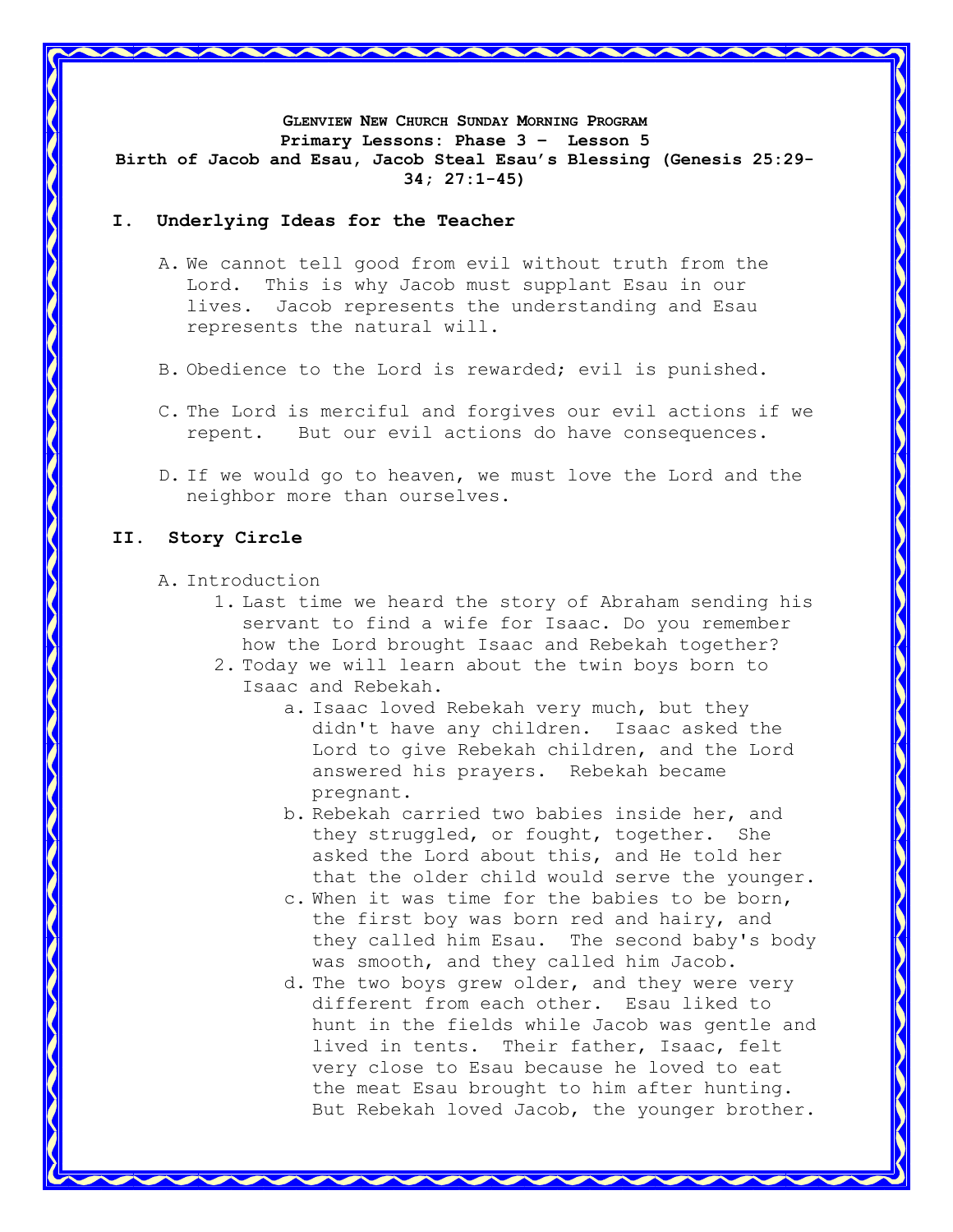**GLENVIEW NEW CHURCH SUNDAY MORNING PROGRAM Primary Lessons: Phase 3 – Lesson 5 Birth of Jacob and Esau, Jacob Steal Esau's Blessing (Genesis 25:29- 34; 27:1-45)**

## **I. Underlying Ideas for the Teacher**

- A. We cannot tell good from evil without truth from the Lord. This is why Jacob must supplant Esau in our lives. Jacob represents the understanding and Esau represents the natural will.
- B. Obedience to the Lord is rewarded; evil is punished.
- C. The Lord is merciful and forgives our evil actions if we repent. But our evil actions do have consequences.
- D. If we would go to heaven, we must love the Lord and the neighbor more than ourselves.

# **II. Story Circle**

A. Introduction

- 1. Last time we heard the story of Abraham sending his servant to find a wife for Isaac. Do you remember how the Lord brought Isaac and Rebekah together?
- 2. Today we will learn about the twin boys born to Isaac and Rebekah.
	- a. Isaac loved Rebekah very much, but they didn't have any children. Isaac asked the Lord to give Rebekah children, and the Lord answered his prayers. Rebekah became pregnant.
	- b. Rebekah carried two babies inside her, and they struggled, or fought, together. She asked the Lord about this, and He told her that the older child would serve the younger.
	- c. When it was time for the babies to be born, the first boy was born red and hairy, and they called him Esau. The second baby's body was smooth, and they called him Jacob.
	- d. The two boys grew older, and they were very different from each other. Esau liked to hunt in the fields while Jacob was gentle and lived in tents. Their father, Isaac, felt very close to Esau because he loved to eat the meat Esau brought to him after hunting. But Rebekah loved Jacob, the younger brother.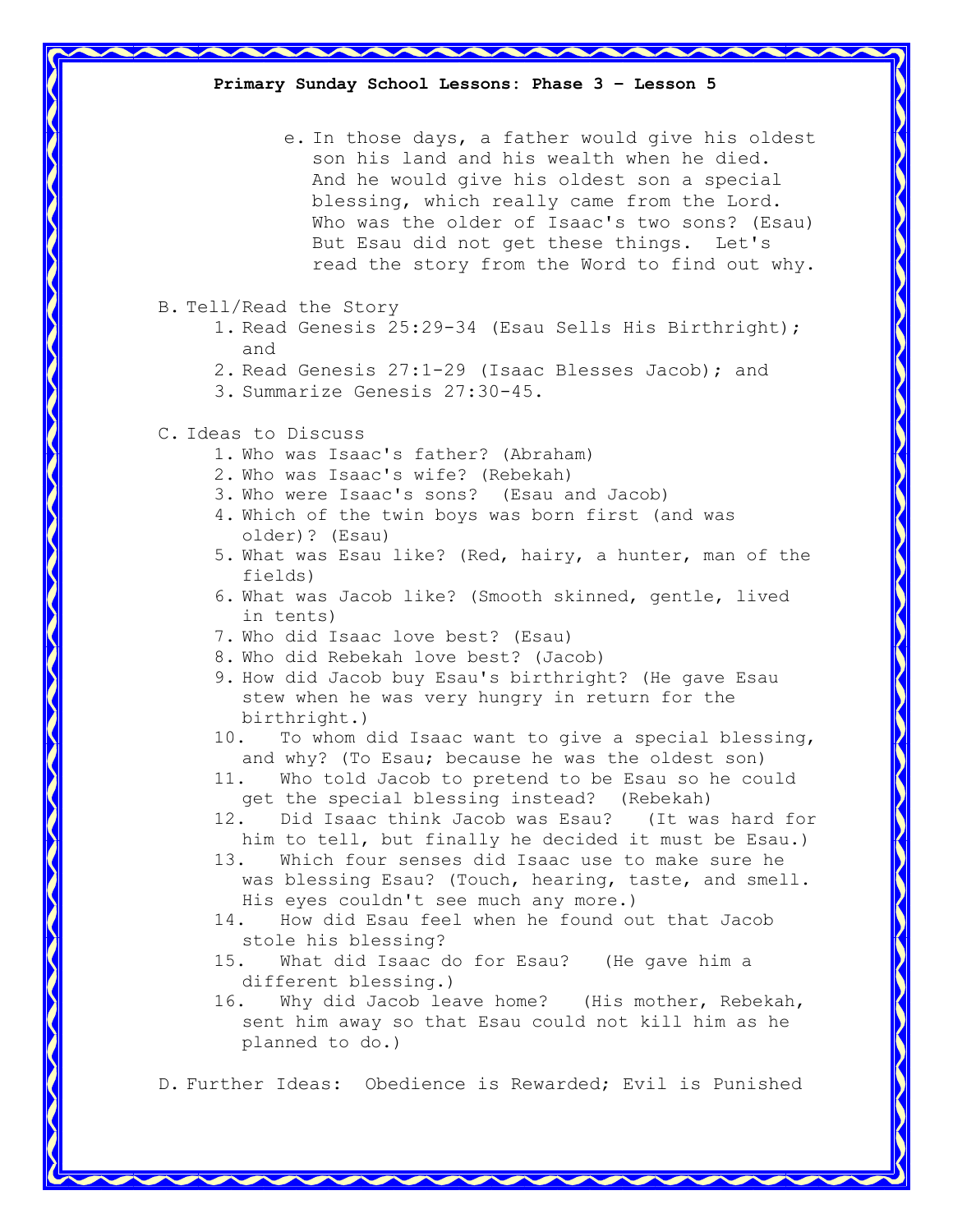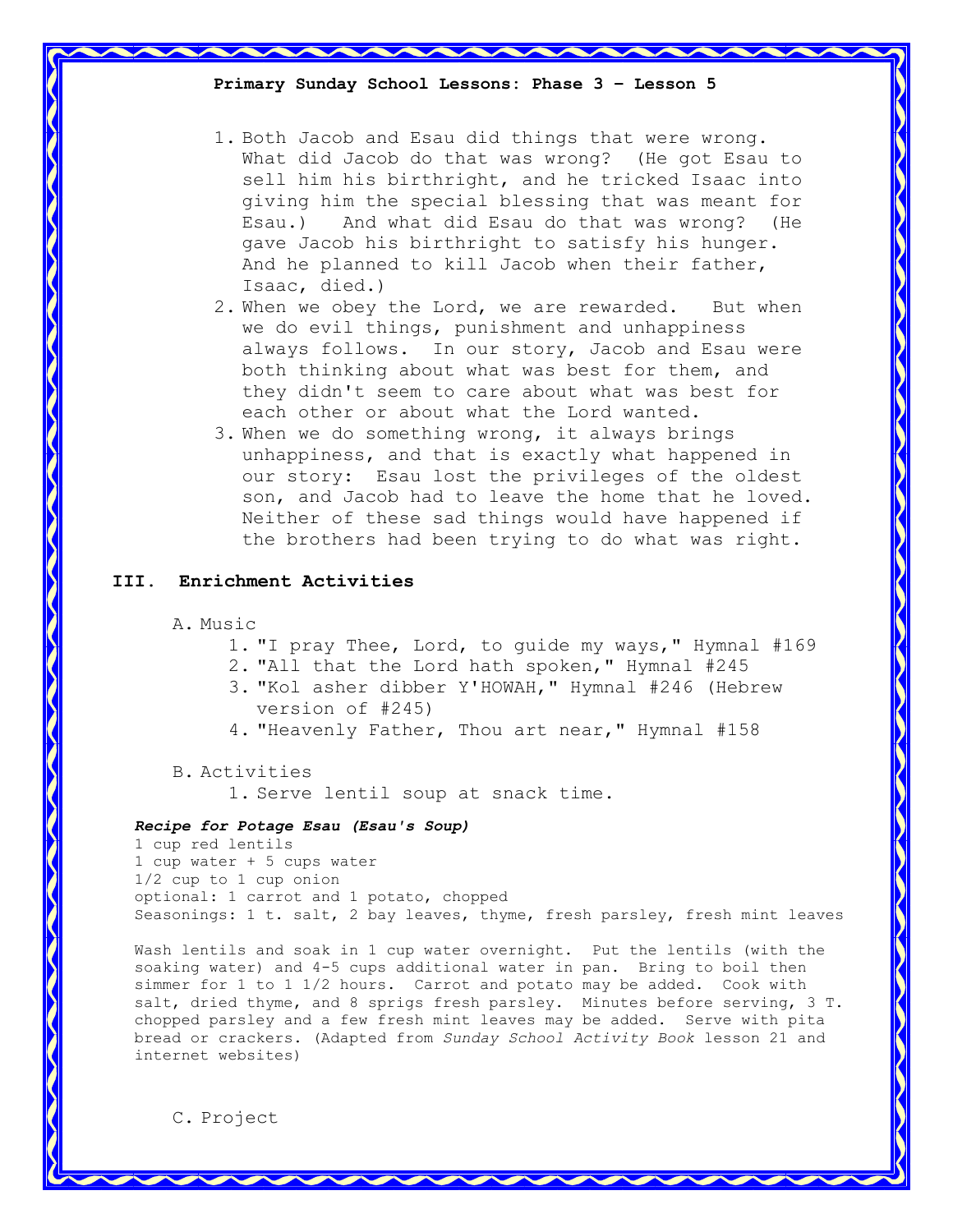**Primary Sunday School Lessons: Phase 3 – Lesson 5**

- 1. Both Jacob and Esau did things that were wrong. What did Jacob do that was wrong? (He got Esau to sell him his birthright, and he tricked Isaac into giving him the special blessing that was meant for Esau.) And what did Esau do that was wrong? (He gave Jacob his birthright to satisfy his hunger. And he planned to kill Jacob when their father, Isaac, died.)
- 2. When we obey the Lord, we are rewarded. But when we do evil things, punishment and unhappiness always follows. In our story, Jacob and Esau were both thinking about what was best for them, and they didn't seem to care about what was best for each other or about what the Lord wanted.
- 3. When we do something wrong, it always brings unhappiness, and that is exactly what happened in our story: Esau lost the privileges of the oldest son, and Jacob had to leave the home that he loved. Neither of these sad things would have happened if the brothers had been trying to do what was right.

## **III. Enrichment Activities**

- A. Music
	- 1. "I pray Thee, Lord, to guide my ways," Hymnal #169
	- 2. "All that the Lord hath spoken," Hymnal #245
	- 3. "Kol asher dibber Y'HOWAH," Hymnal #246 (Hebrew version of #245)
	- 4. "Heavenly Father, Thou art near," Hymnal #158
- B. Activities

1. Serve lentil soup at snack time.

#### *Recipe for Potage Esau (Esau's Soup)*

1 cup red lentils 1 cup water + 5 cups water 1/2 cup to 1 cup onion optional: 1 carrot and 1 potato, chopped Seasonings: 1 t. salt, 2 bay leaves, thyme, fresh parsley, fresh mint leaves

Wash lentils and soak in 1 cup water overnight. Put the lentils (with the soaking water) and 4-5 cups additional water in pan. Bring to boil then simmer for 1 to 1 1/2 hours. Carrot and potato may be added. Cook with salt, dried thyme, and 8 sprigs fresh parsley. Minutes before serving, 3 T. chopped parsley and a few fresh mint leaves may be added. Serve with pita bread or crackers. (Adapted from *Sunday School Activity Book* lesson 21 and internet websites)

C. Project